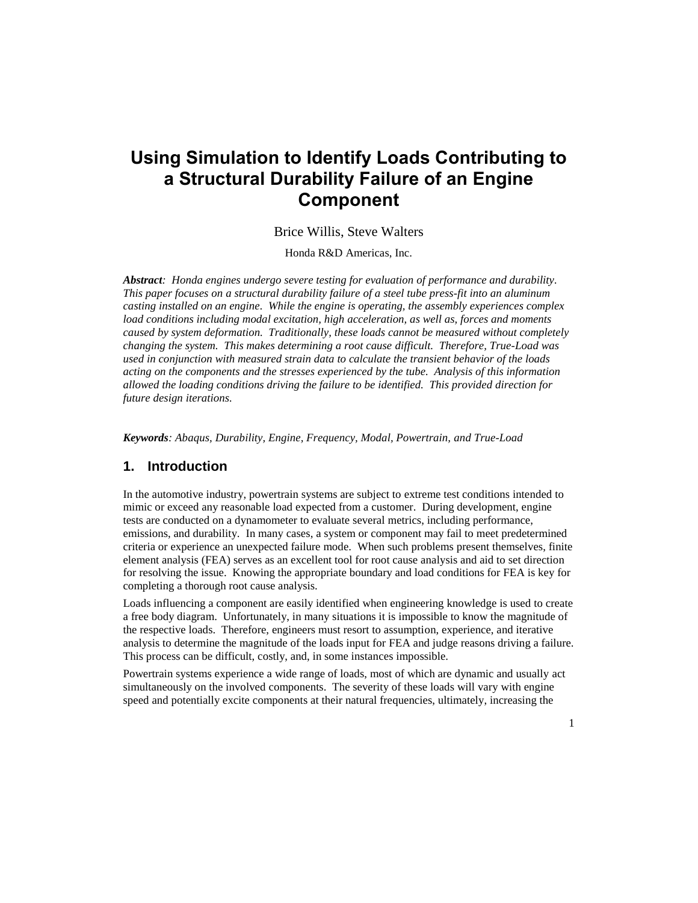# **Using Simulation to Identify Loads Contributing to a Structural Durability Failure of an Engine Component**

#### Brice Willis, Steve Walters

Honda R&D Americas, Inc.

*Abstract: Honda engines undergo severe testing for evaluation of performance and durability. This paper focuses on a structural durability failure of a steel tube press-fit into an aluminum casting installed on an engine. While the engine is operating, the assembly experiences complex load conditions including modal excitation, high acceleration, as well as, forces and moments caused by system deformation. Traditionally, these loads cannot be measured without completely changing the system. This makes determining a root cause difficult. Therefore, True-Load was used in conjunction with measured strain data to calculate the transient behavior of the loads acting on the components and the stresses experienced by the tube. Analysis of this information allowed the loading conditions driving the failure to be identified. This provided direction for future design iterations.*

*Keywords: Abaqus, Durability, Engine, Frequency, Modal, Powertrain, and True-Load*

#### **1. Introduction**

In the automotive industry, powertrain systems are subject to extreme test conditions intended to mimic or exceed any reasonable load expected from a customer. During development, engine tests are conducted on a dynamometer to evaluate several metrics, including performance, emissions, and durability. In many cases, a system or component may fail to meet predetermined criteria or experience an unexpected failure mode. When such problems present themselves, finite element analysis (FEA) serves as an excellent tool for root cause analysis and aid to set direction for resolving the issue. Knowing the appropriate boundary and load conditions for FEA is key for completing a thorough root cause analysis.

Loads influencing a component are easily identified when engineering knowledge is used to create a free body diagram. Unfortunately, in many situations it is impossible to know the magnitude of the respective loads. Therefore, engineers must resort to assumption, experience, and iterative analysis to determine the magnitude of the loads input for FEA and judge reasons driving a failure. This process can be difficult, costly, and, in some instances impossible.

Powertrain systems experience a wide range of loads, most of which are dynamic and usually act simultaneously on the involved components. The severity of these loads will vary with engine speed and potentially excite components at their natural frequencies, ultimately, increasing the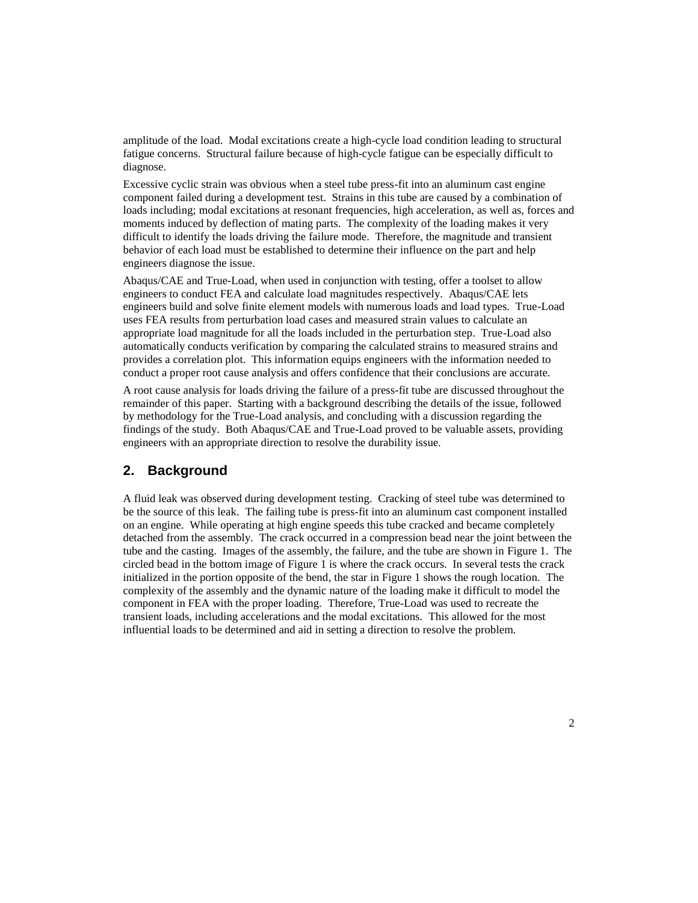amplitude of the load. Modal excitations create a high-cycle load condition leading to structural fatigue concerns. Structural failure because of high-cycle fatigue can be especially difficult to diagnose.

Excessive cyclic strain was obvious when a steel tube press-fit into an aluminum cast engine component failed during a development test. Strains in this tube are caused by a combination of loads including; modal excitations at resonant frequencies, high acceleration, as well as, forces and moments induced by deflection of mating parts. The complexity of the loading makes it very difficult to identify the loads driving the failure mode. Therefore, the magnitude and transient behavior of each load must be established to determine their influence on the part and help engineers diagnose the issue.

Abaqus/CAE and True-Load, when used in conjunction with testing, offer a toolset to allow engineers to conduct FEA and calculate load magnitudes respectively. Abaqus/CAE lets engineers build and solve finite element models with numerous loads and load types. True-Load uses FEA results from perturbation load cases and measured strain values to calculate an appropriate load magnitude for all the loads included in the perturbation step. True-Load also automatically conducts verification by comparing the calculated strains to measured strains and provides a correlation plot. This information equips engineers with the information needed to conduct a proper root cause analysis and offers confidence that their conclusions are accurate.

A root cause analysis for loads driving the failure of a press-fit tube are discussed throughout the remainder of this paper. Starting with a background describing the details of the issue, followed by methodology for the True-Load analysis, and concluding with a discussion regarding the findings of the study. Both Abaqus/CAE and True-Load proved to be valuable assets, providing engineers with an appropriate direction to resolve the durability issue.

## **2. Background**

A fluid leak was observed during development testing. Cracking of steel tube was determined to be the source of this leak. The failing tube is press-fit into an aluminum cast component installed on an engine. While operating at high engine speeds this tube cracked and became completely detached from the assembly. The crack occurred in a compression bead near the joint between the tube and the casting. Images of the assembly, the failure, and the tube are shown in [Figure 1.](#page-2-0) The circled bead in the bottom image of [Figure 1](#page-2-0) is where the crack occurs. In several tests the crack initialized in the portion opposite of the bend, the star in [Figure 1](#page-2-0) shows the rough location. The complexity of the assembly and the dynamic nature of the loading make it difficult to model the component in FEA with the proper loading. Therefore, True-Load was used to recreate the transient loads, including accelerations and the modal excitations. This allowed for the most influential loads to be determined and aid in setting a direction to resolve the problem.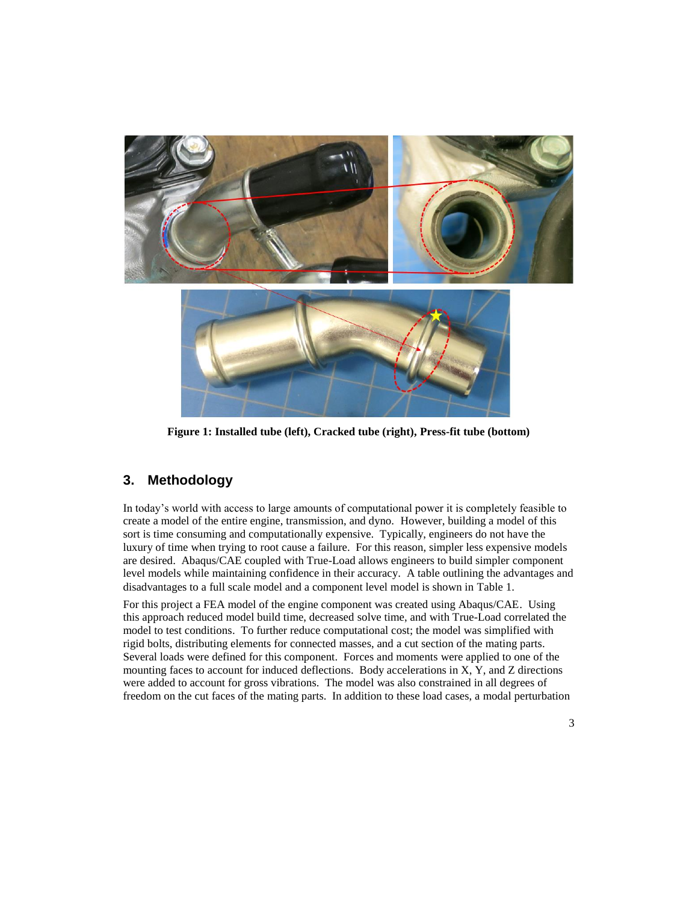

**Figure 1: Installed tube (left), Cracked tube (right), Press-fit tube (bottom)**

## <span id="page-2-0"></span>**3. Methodology**

In today's world with access to large amounts of computational power it is completely feasible to create a model of the entire engine, transmission, and dyno. However, building a model of this sort is time consuming and computationally expensive. Typically, engineers do not have the luxury of time when trying to root cause a failure. For this reason, simpler less expensive models are desired. Abaqus/CAE coupled with True-Load allows engineers to build simpler component level models while maintaining confidence in their accuracy. A table outlining the advantages and disadvantages to a full scale model and a component level model is shown in [Table 1.](#page-3-0)

For this project a FEA model of the engine component was created using Abaqus/CAE. Using this approach reduced model build time, decreased solve time, and with True-Load correlated the model to test conditions. To further reduce computational cost; the model was simplified with rigid bolts, distributing elements for connected masses, and a cut section of the mating parts. Several loads were defined for this component. Forces and moments were applied to one of the mounting faces to account for induced deflections. Body accelerations in X, Y, and Z directions were added to account for gross vibrations. The model was also constrained in all degrees of freedom on the cut faces of the mating parts. In addition to these load cases, a modal perturbation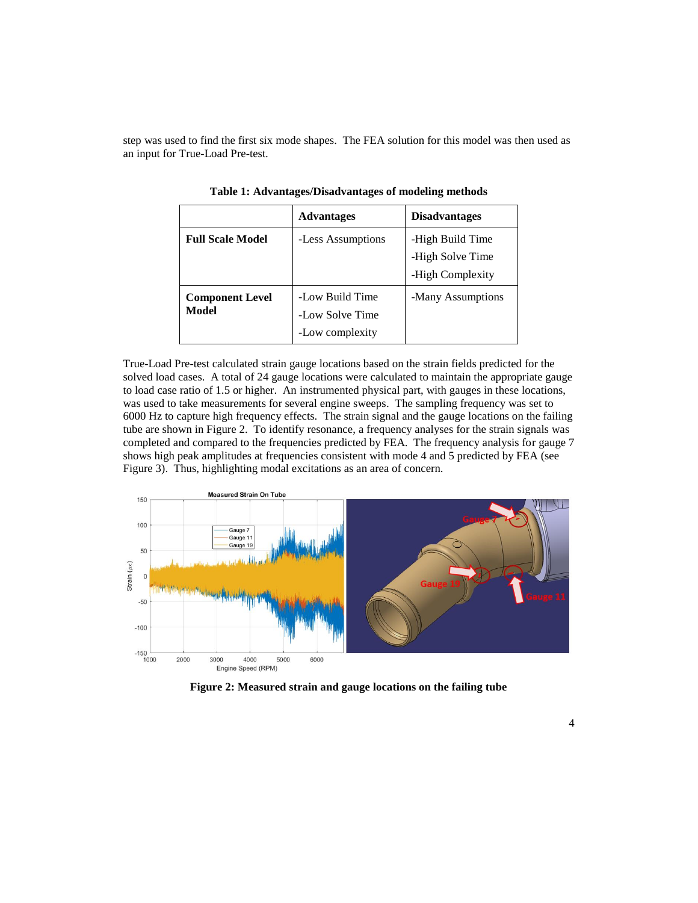<span id="page-3-0"></span>step was used to find the first six mode shapes. The FEA solution for this model was then used as an input for True-Load Pre-test.

|                                 | <b>Advantages</b>                                     | <b>Disadvantages</b>                                     |
|---------------------------------|-------------------------------------------------------|----------------------------------------------------------|
| <b>Full Scale Model</b>         | -Less Assumptions                                     | -High Build Time<br>-High Solve Time<br>-High Complexity |
| <b>Component Level</b><br>Model | -Low Build Time<br>-Low Solve Time<br>-Low complexity | -Many Assumptions                                        |

**Table 1: Advantages/Disadvantages of modeling methods**

True-Load Pre-test calculated strain gauge locations based on the strain fields predicted for the solved load cases. A total of 24 gauge locations were calculated to maintain the appropriate gauge to load case ratio of 1.5 or higher. An instrumented physical part, with gauges in these locations, was used to take measurements for several engine sweeps. The sampling frequency was set to 6000 Hz to capture high frequency effects. The strain signal and the gauge locations on the failing tube are shown in [Figure 2.](#page-3-1) To identify resonance, a frequency analyses for the strain signals was completed and compared to the frequencies predicted by FEA. The frequency analysis for gauge 7 shows high peak amplitudes at frequencies consistent with mode 4 and 5 predicted by FEA (see [Figure 3\)](#page-4-0). Thus, highlighting modal excitations as an area of concern.



<span id="page-3-1"></span>**Figure 2: Measured strain and gauge locations on the failing tube**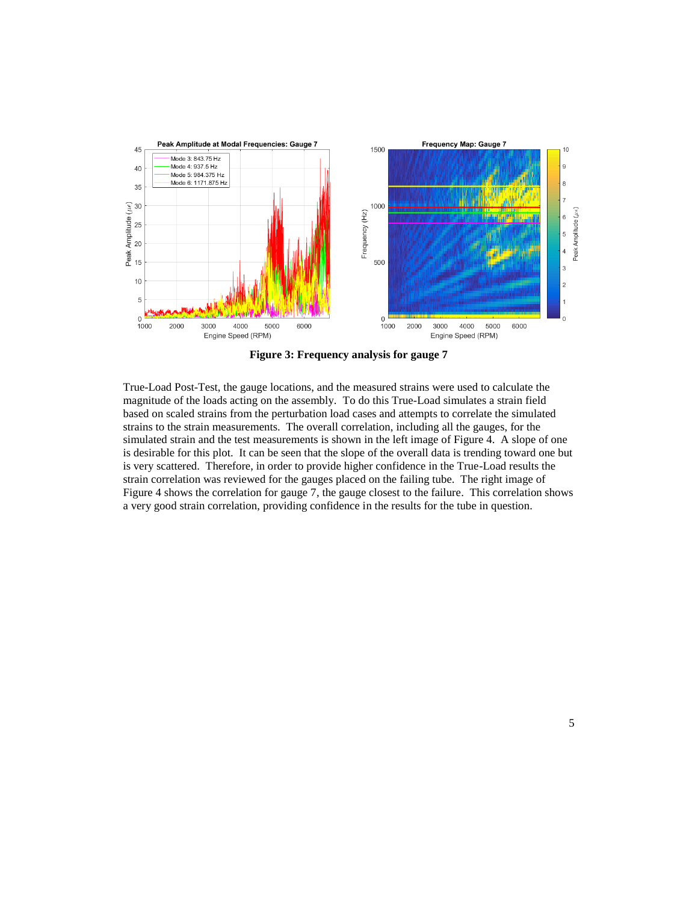

**Figure 3: Frequency analysis for gauge 7**

<span id="page-4-0"></span>True-Load Post-Test, the gauge locations, and the measured strains were used to calculate the magnitude of the loads acting on the assembly. To do this True-Load simulates a strain field based on scaled strains from the perturbation load cases and attempts to correlate the simulated strains to the strain measurements. The overall correlation, including all the gauges, for the simulated strain and the test measurements is shown in the left image of [Figure 4.](#page-5-0) A slope of one is desirable for this plot. It can be seen that the slope of the overall data is trending toward one but is very scattered. Therefore, in order to provide higher confidence in the True-Load results the strain correlation was reviewed for the gauges placed on the failing tube. The right image of [Figure 4](#page-5-0) shows the correlation for gauge 7, the gauge closest to the failure. This correlation shows a very good strain correlation, providing confidence in the results for the tube in question.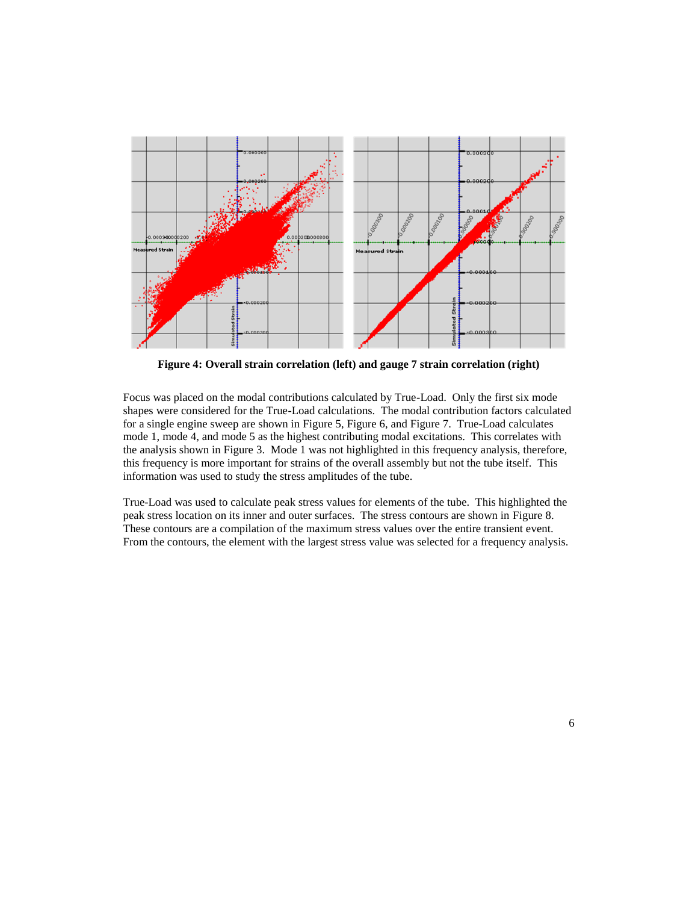

<span id="page-5-0"></span>**Figure 4: Overall strain correlation (left) and gauge 7 strain correlation (right)**

Focus was placed on the modal contributions calculated by True-Load. Only the first six mode shapes were considered for the True-Load calculations. The modal contribution factors calculated for a single engine sweep are shown i[n Figure 5,](#page-6-0) [Figure 6,](#page-6-1) and [Figure 7.](#page-7-0) True-Load calculates mode 1, mode 4, and mode 5 as the highest contributing modal excitations. This correlates with the analysis shown in [Figure 3.](#page-4-0) Mode 1 was not highlighted in this frequency analysis, therefore, this frequency is more important for strains of the overall assembly but not the tube itself. This information was used to study the stress amplitudes of the tube.

True-Load was used to calculate peak stress values for elements of the tube. This highlighted the peak stress location on its inner and outer surfaces. The stress contours are shown in [Figure 8.](#page-7-1) These contours are a compilation of the maximum stress values over the entire transient event. From the contours, the element with the largest stress value was selected for a frequency analysis.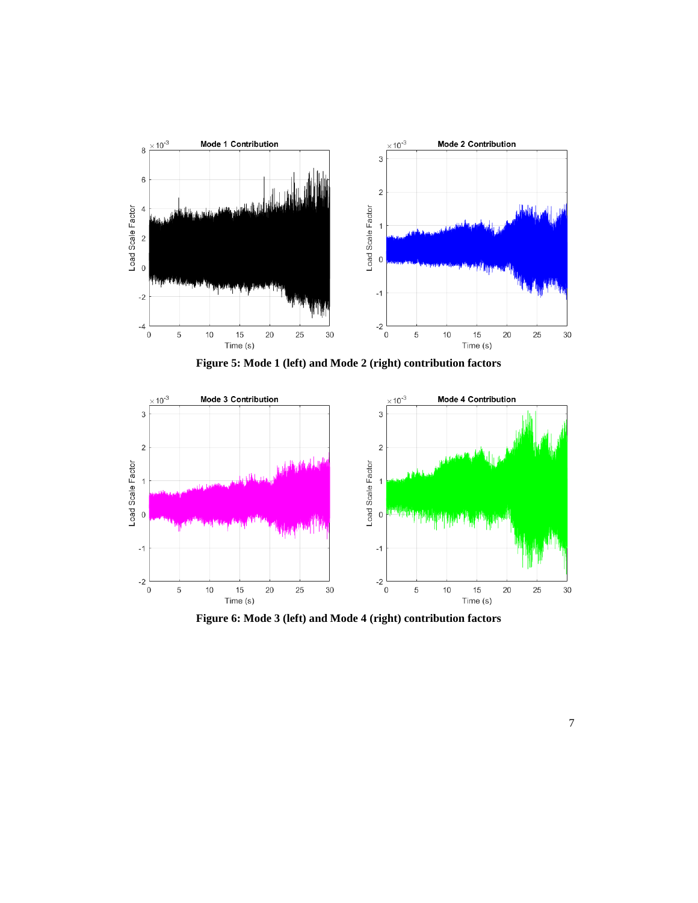

**Figure 5: Mode 1 (left) and Mode 2 (right) contribution factors**

<span id="page-6-0"></span>

<span id="page-6-1"></span>**Figure 6: Mode 3 (left) and Mode 4 (right) contribution factors**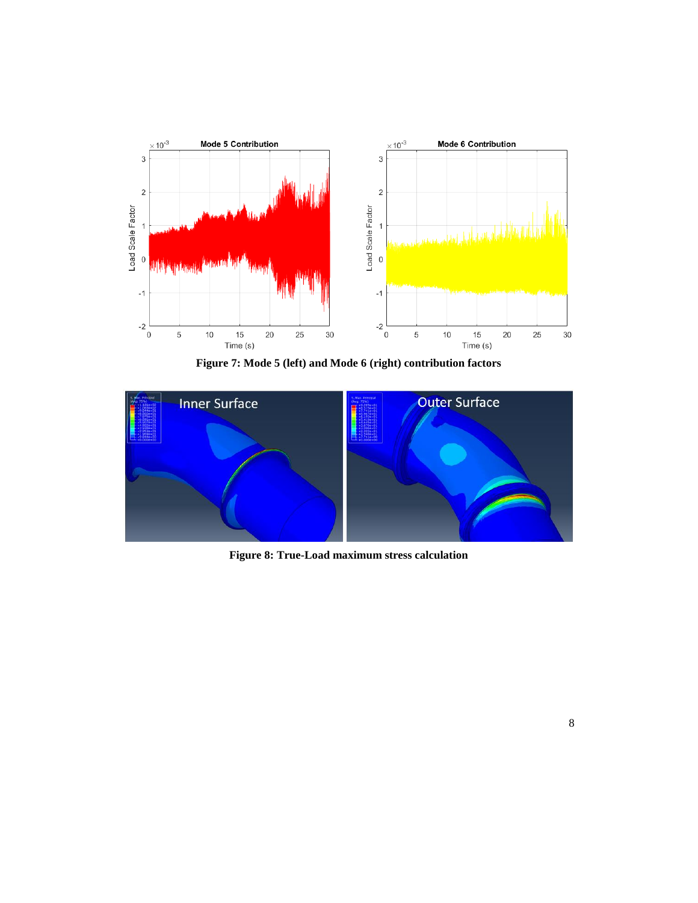

**Figure 7: Mode 5 (left) and Mode 6 (right) contribution factors**

<span id="page-7-0"></span>

<span id="page-7-1"></span>**Figure 8: True-Load maximum stress calculation**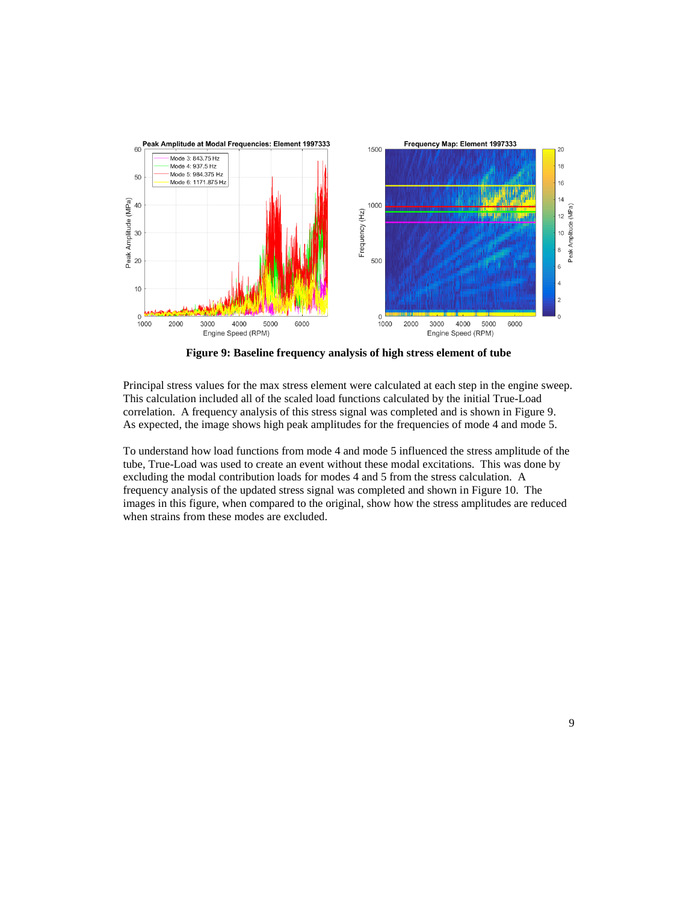

**Figure 9: Baseline frequency analysis of high stress element of tube**

<span id="page-8-0"></span>Principal stress values for the max stress element were calculated at each step in the engine sweep. This calculation included all of the scaled load functions calculated by the initial True-Load correlation. A frequency analysis of this stress signal was completed and is shown in [Figure 9.](#page-8-0) As expected, the image shows high peak amplitudes for the frequencies of mode 4 and mode 5.

To understand how load functions from mode 4 and mode 5 influenced the stress amplitude of the tube, True-Load was used to create an event without these modal excitations. This was done by excluding the modal contribution loads for modes 4 and 5 from the stress calculation. A frequency analysis of the updated stress signal was completed and shown in [Figure 10.](#page-9-0) The images in this figure, when compared to the original, show how the stress amplitudes are reduced when strains from these modes are excluded.